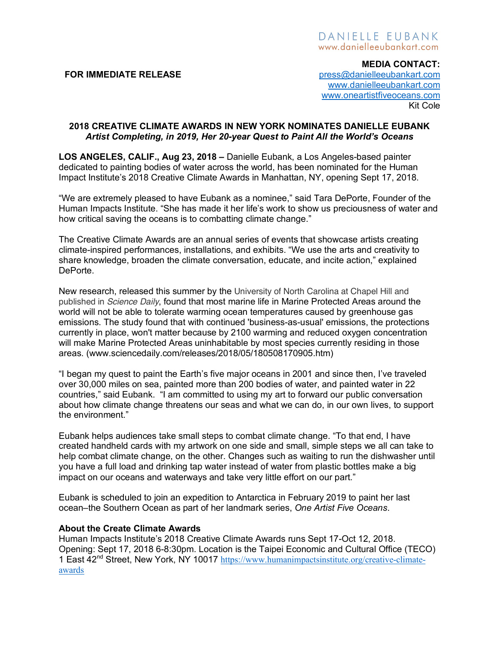# DANIELLE EUBANK www.danielleeubankart.com

**MEDIA CONTACT: FOR IMMEDIATE RELEASE** *CON PRESSEMENTE PERSODARIES <b>PRESSEMENTE PRESSEMENTE PRESSEMENT PRESSEMENT PRESSEMENT PRESSEMENT PRESSEMENT PRESSEMENT PRESSEMENT PRESSEMENT PRESSEMENT PRESSEMENT PRESSEMENT PRESSEMENT PRESSE* www.danielleeubankart.com www.oneartistfiveoceans.com Kit Cole

## **2018 CREATIVE CLIMATE AWARDS IN NEW YORK NOMINATES DANIELLE EUBANK**  *Artist Completing, in 2019, Her 20-year Quest to Paint All the World's Oceans*

**LOS ANGELES, CALIF., Aug 23, 2018 –** Danielle Eubank, a Los Angeles-based painter dedicated to painting bodies of water across the world, has been nominated for the Human Impact Institute's 2018 Creative Climate Awards in Manhattan, NY, opening Sept 17, 2018.

"We are extremely pleased to have Eubank as a nominee," said Tara DePorte, Founder of the Human Impacts Institute. "She has made it her life's work to show us preciousness of water and how critical saving the oceans is to combatting climate change."

The Creative Climate Awards are an annual series of events that showcase artists creating climate-inspired performances, installations, and exhibits. "We use the arts and creativity to share knowledge, broaden the climate conversation, educate, and incite action," explained DePorte.

New research, released this summer by the University of North Carolina at Chapel Hill and published in *Science Daily*, found that most marine life in Marine Protected Areas around the world will not be able to tolerate warming ocean temperatures caused by greenhouse gas emissions. The study found that with continued 'business-as-usual' emissions, the protections currently in place, won't matter because by 2100 warming and reduced oxygen concentration will make Marine Protected Areas uninhabitable by most species currently residing in those areas. (www.sciencedaily.com/releases/2018/05/180508170905.htm)

"I began my quest to paint the Earth's five major oceans in 2001 and since then, I've traveled over 30,000 miles on sea, painted more than 200 bodies of water, and painted water in 22 countries," said Eubank. "I am committed to using my art to forward our public conversation about how climate change threatens our seas and what we can do, in our own lives, to support the environment."

Eubank helps audiences take small steps to combat climate change. "To that end, I have created handheld cards with my artwork on one side and small, simple steps we all can take to help combat climate change, on the other. Changes such as waiting to run the dishwasher until you have a full load and drinking tap water instead of water from plastic bottles make a big impact on our oceans and waterways and take very little effort on our part."

Eubank is scheduled to join an expedition to Antarctica in February 2019 to paint her last ocean–the Southern Ocean as part of her landmark series, *One Artist Five Oceans*.

#### **About the Create Climate Awards**

Human Impacts Institute's 2018 Creative Climate Awards runs Sept 17-Oct 12, 2018. Opening: Sept 17, 2018 6-8:30pm. Location is the Taipei Economic and Cultural Office (TECO) 1 East 42nd Street, New York, NY 10017 https://www.humanimpactsinstitute.org/creative-climateawards